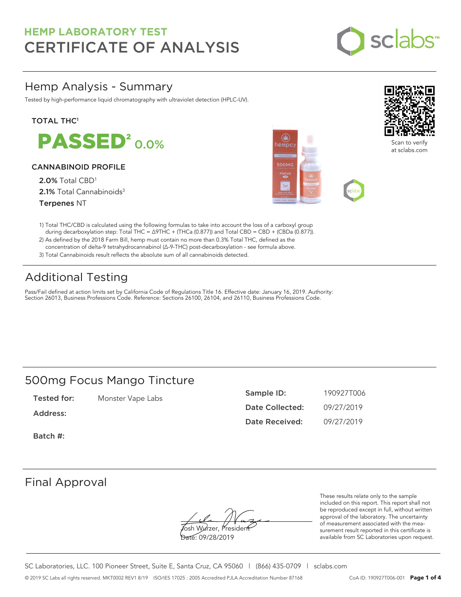

## Hemp Analysis - Summary

Tested by high-performance liquid chromatography with ultraviolet detection (HPLC-UV).

### **TOTAL THC1**

**PASSED<sup>2</sup>0.0%** 

### CANNABINOID PROFILE

2.0% Total CBD<sup>1</sup> 2.1% Total Cannabinoids<sup>3</sup> Terpenes NT





Scan to verify at sclabs.com

- 1) Total THC/CBD is calculated using the following formulas to take into account the loss of a carboxyl group during decarboxylation step: Total THC = ∆9THC + (THCa (0.877)) and Total CBD = CBD + (CBDa (0.877)).
- 2) As defined by the 2018 Farm Bill, hemp must contain no more than 0.3% Total THC, defined as the concentration of delta-9 tetrahydrocannabinol (Δ-9-THC) post-decarboxylation - see formula above.
- 3) Total Cannabinoids result reflects the absolute sum of all cannabinoids detected.

## Additional Testing

Pass/Fail defined at action limits set by California Code of Regulations Title 16. Effective date: January 16, 2019. Authority: Section 26013, Business Professions Code. Reference: Sections 26100, 26104, and 26110, Business Professions Code.

### 500mg Focus Mango Tincture

Tested for: Monster Vape Labs

Address:

Sample ID: 190927T006 Date Collected: 09/27/2019 Date Received: 09/27/2019

Batch #:

### Final Approval

**J**osh Wurzer, Presiden<del>t</del> Date: 09/28/2019

These results relate only to the sample included on this report. This report shall not be reproduced except in full, without written approval of the laboratory. The uncertainty of measurement associated with the measurement result reported in this certificate is available from SC Laboratories upon request.

SC Laboratories, LLC. 100 Pioneer Street, Suite E, Santa Cruz, CA 95060 | (866) 435-0709 | sclabs.com © 2019 SC Labs all rights reserved. MKT0002 REV1 8/19 ISO/IES 17025 : 2005 Accredited PJLA Accreditation Number 87168 CoA ID: 190927T006-001 **Page 1 of 4**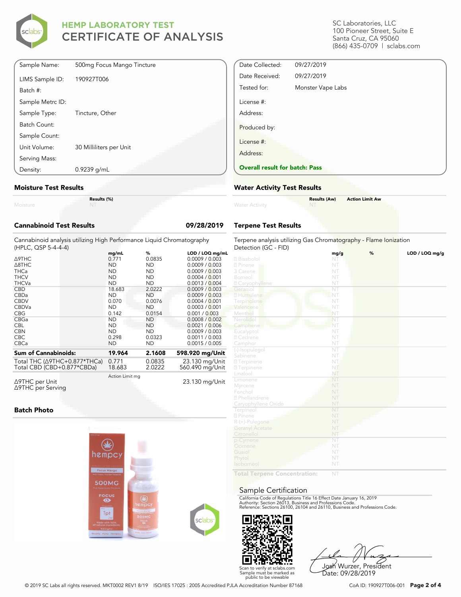

| Density:         | $0.9239$ g/mL              |
|------------------|----------------------------|
| Serving Mass:    |                            |
| Unit Volume:     | 30 Milliliters per Unit    |
| Sample Count:    |                            |
| Batch Count:     |                            |
| Sample Type:     | Tincture, Other            |
| Sample Metrc ID: |                            |
| Batch #:         |                            |
| LIMS Sample ID:  | 190927T006                 |
| Sample Name:     | 500mg Focus Mango Tincture |

#### **Moisture Test Results**

|          | Res |
|----------|-----|
| Moisture |     |

**Results (%)**

| <b>Cannabinoid Test Results</b>                                                              |                 |           | 09/28/2019      |
|----------------------------------------------------------------------------------------------|-----------------|-----------|-----------------|
| Cannabinoid analysis utilizing High Performance Liquid Chromatography<br>(HPLC, QSP 5-4-4-4) |                 |           |                 |
|                                                                                              | mg/mL           | %         | LOD / LOQ mg/mL |
| <b>A9THC</b>                                                                                 | 0.771           | 0.0835    | 0.0009 / 0.003  |
| $\triangle$ 8THC                                                                             | <b>ND</b>       | <b>ND</b> | 0.0009 / 0.003  |
| <b>THCa</b>                                                                                  | <b>ND</b>       | <b>ND</b> | 0.0009 / 0.003  |
| <b>THCV</b>                                                                                  | <b>ND</b>       | <b>ND</b> | 0.0004 / 0.001  |
| <b>THCVa</b>                                                                                 | <b>ND</b>       | <b>ND</b> | 0.0013 / 0.004  |
| <b>CBD</b>                                                                                   | 18.683          | 2.0222    | 0.0009 / 0.003  |
| CBDa                                                                                         | <b>ND</b>       | <b>ND</b> | 0.0009 / 0.003  |
| <b>CBDV</b>                                                                                  | 0.070           | 0.0076    | 0.0004 / 0.001  |
| CBDVa                                                                                        | <b>ND</b>       | <b>ND</b> | 0.0003 / 0.001  |
| <b>CBG</b>                                                                                   | 0.142           | 0.0154    | 0.001 / 0.003   |
| CBGa                                                                                         | <b>ND</b>       | <b>ND</b> | 0.0008 / 0.002  |
| <b>CBL</b>                                                                                   | <b>ND</b>       | <b>ND</b> | 0.0021 / 0.006  |
| <b>CBN</b>                                                                                   | <b>ND</b>       | <b>ND</b> | 0.0009 / 0.003  |
| CBC.                                                                                         | 0.298           | 0.0323    | 0.0011 / 0.003  |
| CBCa                                                                                         | <b>ND</b>       | <b>ND</b> | 0.0015 / 0.005  |
| <b>Sum of Cannabinoids:</b>                                                                  | 19.964          | 2.1608    | 598.920 mg/Unit |
| Total THC (∆9THC+0.877*THCa)                                                                 | 0.771           | 0.0835    | 23.130 mg/Unit  |
| Total CBD (CBD+0.877*CBDa)                                                                   | 18.683          | 2.0222    | 560.490 mg/Unit |
| ∆9THC per Unit<br>∆9THC per Serving                                                          | Action Limit mg |           | 23.130 mg/Unit  |

#### **Batch Photo**



SC Laboratories, LLC 100 Pioneer Street, Suite E Santa Cruz, CA 95060 (866) 435-0709 | sclabs.com

| Date Collected:                       | 09/27/2019        |  |
|---------------------------------------|-------------------|--|
| Date Received:                        | 09/27/2019        |  |
| Tested for:                           | Monster Vape Labs |  |
| License #:<br>Address:                |                   |  |
| Produced by:                          |                   |  |
| License #:                            |                   |  |
| Address:                              |                   |  |
| <b>Overall result for batch: Pass</b> |                   |  |

#### **Water Activity Test Results**

| Water Activity | <b>Results (Aw)</b><br><b>NT</b> | <b>Action Limit Aw</b> |
|----------------|----------------------------------|------------------------|
|                |                                  |                        |

### **Terpene Test Results**

| Terpene analysis utilizing Gas Chromatography - Flame Ionization |            |   |                |
|------------------------------------------------------------------|------------|---|----------------|
| Detection (GC - FID)                                             |            | % | LOD / LOQ mg/g |
| 2 Bisabolol                                                      | mg/g<br>NT |   |                |
| 2 Pinene                                                         | NT         |   |                |
| 3 Carene                                                         | NT         |   |                |
| Borneol                                                          | NT         |   |                |
| <b>Z</b> Caryophyllene                                           | NT         |   |                |
| Geraniol                                                         | ÑT         |   |                |
| 2 Humulene                                                       | NT         |   |                |
| Terpinolene                                                      | NT         |   |                |
| Valencene                                                        | NT         |   |                |
| Menthol                                                          | NT         |   |                |
| Nerolidol                                                        | NT         |   |                |
| Camphene                                                         | NT         |   |                |
| Eucalyptol                                                       | NT         |   |                |
| 2 Cedrene                                                        | NT         |   |                |
| Camphor                                                          | NT         |   |                |
| (-)-Isopulegol                                                   | NT         |   |                |
| Sabinene                                                         | NT         |   |                |
| <sup>2</sup> Terpinene                                           | NT.        |   |                |
| <b>27</b> Terpinene                                              | NT         |   |                |
| Linalool                                                         | NT         |   |                |
| Limonene                                                         | NT         |   |                |
| Myrcene                                                          | NT         |   |                |
| Fenchol                                                          | NT         |   |                |
| 2 Phellandrene                                                   | NT         |   |                |
| Caryophyllene Oxide                                              | NT         |   |                |
| Terpineol                                                        | NT         |   |                |
| 2 Pinene                                                         | NT         |   |                |
| R-(+)-Pulegone                                                   | NT         |   |                |
| <b>Geranyl Acetate</b>                                           | NT         |   |                |
| Citronellol                                                      | NT         |   |                |
| p-Cymene                                                         | NT         |   |                |
| Ocimene                                                          | NT         |   |                |
| Guaiol                                                           | NT         |   |                |
| Phytol                                                           | NT         |   |                |
| Isoborneol                                                       | NT         |   |                |
| Dealer T                                                         |            |   |                |

**Total Terpene Concentration:**

#### Sample Certification

California Code of Regulations Title 16 Effect Date January 16, 2019<br>Authority: Section 26013, Business and Professions Code.<br>Reference: Sections 26100, 26104 and 26110, Business and Professions Code.



Josh Wurzer, President Date: 09/28/2019

© 2019 SC Labs all rights reserved. MKT0002 REV1 8/19 ISO/IES 17025 : 2005 Accredited PJLA Accreditation Number 87168 CoA ID: 190927T006-001 **Page 2 of 4**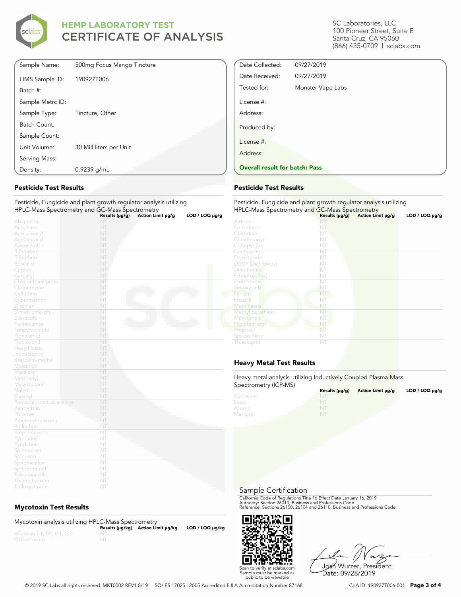

| Sample Name:     | 500mg Focus Mango Tincture |  |
|------------------|----------------------------|--|
| LIMS Sample ID:  | 190927T006                 |  |
| Batch #:         |                            |  |
| Sample Metrc ID: |                            |  |
| Sample Type:     | Tincture, Other            |  |
| Batch Count:     |                            |  |
| Sample Count:    |                            |  |
| Unit Volume:     | 30 Milliliters per Unit    |  |
| Serving Mass:    |                            |  |
| Density:         | $0.9239$ g/mL              |  |

### **Pesticide Test Results**

Pesticide, Fungicide and plant growth regulator analysis utilizing HPLC-Mass Spectrometry and GC-Mass Spectrometry **Results (μg/g) Action Limit μg/g LOD / LOQ μg/g**

|                         | Results (µg/g) | Action Limit µg/g | LOD / LOQ µg/g |
|-------------------------|----------------|-------------------|----------------|
| Abamectin               | NT             |                   |                |
| Acephate                | NT             |                   |                |
| Acequinocyl             | NT             |                   |                |
| Acetamiprid             | NT             |                   |                |
| Azoxystrobin            | NT             |                   |                |
| Bifenazate              | NT             |                   |                |
| Bifenthrin              | NT             |                   |                |
| <b>Boscalid</b>         | NT             |                   |                |
| Captan                  | NT             |                   |                |
| Carbaryl                | NT             |                   |                |
| Chlorantraniliprole     | NT             |                   |                |
| Clofentezine            | NT             |                   |                |
| Cyfluthrin              | NT             |                   |                |
| Cypermethrin            | NT             |                   |                |
| Diazinon                | NT             |                   |                |
| Dimethomorph            | NT             |                   |                |
| Etoxazole               | NT             |                   |                |
| Fenhexamid              | NT             |                   |                |
| Fenpyroximate           | NT             |                   |                |
| Flonicamid              | NT             |                   |                |
| Fludioxonil             | NT             |                   |                |
| Hexythiazox             | NT             |                   |                |
| Imidacloprid            | NT             |                   |                |
| Kresoxim-methyl         | NT             |                   |                |
| Malathion               | NT             |                   |                |
| Metalaxyl               | NT             |                   |                |
| Methomyl                | NT             |                   |                |
| Myclobutanil            | NT             |                   |                |
| Naled                   | NT             |                   |                |
| Oxamyl                  | NT             |                   |                |
| Pentachloronitrobenzene | NT             |                   |                |
| Permethrin              | NT             |                   |                |
| Phosmet                 | NT             |                   |                |
| Piperonylbutoxide       | NT             |                   |                |
| Prallethrin             | NT             |                   |                |
| Propiconazole           | NT             |                   |                |
| Pyrethrins              | NT             |                   |                |
| Pyridaben               | NT             |                   |                |
| Spinetoram              | NT             |                   |                |
| Spinosad                | NT             |                   |                |
| Spiromesifen            | NT             |                   |                |
| Spirotetramat           | NT             |                   |                |
| Tebuconazole            | NT             |                   |                |
| Thiamethoxam            | NT             |                   |                |
| Trifloxystrobin         | NT             |                   |                |

### **Mycotoxin Test Results**

Mycotoxin analysis utilizing HPLC-Mass Spectrometry **Results (μg/kg) Action Limit μg/kg LOD / LOQ μg/kg** NT

SC Laboratories, LLC 100 Pioneer Street, Suite E Santa Cruz, CA 95060 (866) 435-0709 | sclabs.com

| Date Collected:                       | 09/27/2019        |  |
|---------------------------------------|-------------------|--|
| Date Received:                        | 09/27/2019        |  |
| Tested for:                           | Monster Vape Labs |  |
| License #:                            |                   |  |
| Address:                              |                   |  |
| Produced by:                          |                   |  |
| License #:                            |                   |  |
| Address:                              |                   |  |
| <b>Overall result for batch: Pass</b> |                   |  |

#### **Pesticide Test Results**

| Pesticide, Fungicide and plant growth regulator analysis utilizing<br>HPLC-Mass Spectrometry and GC-Mass Spectrometry |                     |                   |                     |
|-----------------------------------------------------------------------------------------------------------------------|---------------------|-------------------|---------------------|
|                                                                                                                       | Results $(\mu g/g)$ | Action Limit µg/g | $LOD / LOQ \mu g/g$ |
| Aldicarb                                                                                                              | NT                  |                   |                     |
| Carbofuran                                                                                                            | NT                  |                   |                     |
| Chlordane                                                                                                             | NT                  |                   |                     |
| Chlorfenapyr                                                                                                          | NT                  |                   |                     |
| Chlorpyrifos                                                                                                          | NT                  |                   |                     |
| Coumaphos                                                                                                             | NT                  |                   |                     |
| Daminozide                                                                                                            | NT                  |                   |                     |
| <b>DDVP</b> (Dichlorvos)                                                                                              | NT                  |                   |                     |
| Dimethoate                                                                                                            | NT                  |                   |                     |
| Ethoprop(hos)                                                                                                         | NT                  |                   |                     |
| Etofenprox                                                                                                            | NT                  |                   |                     |
| Fenoxycarb                                                                                                            | NT                  |                   |                     |
| Fipronil                                                                                                              | NT                  |                   |                     |
| Imazalil                                                                                                              | NП                  |                   |                     |
| Methiocarb                                                                                                            | NT                  |                   |                     |
| Methyl parathion                                                                                                      | NT                  |                   |                     |
| Mevinphos                                                                                                             | NT                  |                   |                     |
| Paclobutrazol                                                                                                         | NT                  |                   |                     |
| Propoxur                                                                                                              | NT                  |                   |                     |
| Spiroxamine                                                                                                           | NT                  |                   |                     |
| Thiacloprid                                                                                                           | NT                  |                   |                     |

### **Heavy Metal Test Results**

Heavy metal analysis utilizing Inductively Coupled Plasma Mass Spectrometry (ICP-MS)

| $\sum_{i=1}^{n}$ | Results $(\mu q/q)$ | Action Limit µq/q | LOD / LOQ $\mu$ g/g |
|------------------|---------------------|-------------------|---------------------|
| Cadmium          | <b>NT</b>           |                   |                     |
| Lead             |                     |                   |                     |
| Arsenic          | NT                  |                   |                     |
| Mercury          | NT                  |                   |                     |

Sample Certification

California Code of Regulations Title 16 Effect Date January 16, 2019<br>Authority: Section 26013, Business and Professions Code.<br>Reference: Sections 26100, 26104 and 26110, Business and Professions Code.



Josh Wurzer, President Date: 09/28/2019

© 2019 SC Labs all rights reserved. MKT0002 REV1 8/19 ISO/IES 17025 : 2005 Accredited PJLA Accreditation Number 87168 CoA ID: 190927T006-001 **Page 3 of 4**